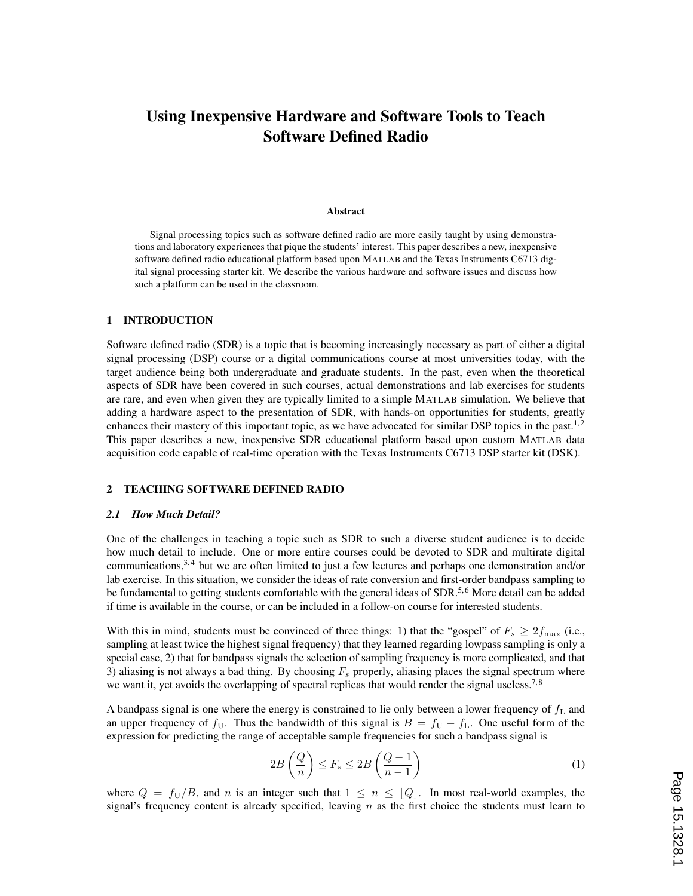# Using Inexpensive Hardware and Software Tools to Teach Software Defined Radio

#### Abstract

Signal processing topics such as software defined radio are more easily taught by using demonstrations and laboratory experiences that pique the students' interest. This paper describes a new, inexpensive software defined radio educational platform based upon MATLAB and the Texas Instruments C6713 digital signal processing starter kit. We describe the various hardware and software issues and discuss how such a platform can be used in the classroom.

### 1 INTRODUCTION

Software defined radio (SDR) is a topic that is becoming increasingly necessary as part of either a digital signal processing (DSP) course or a digital communications course at most universities today, with the target audience being both undergraduate and graduate students. In the past, even when the theoretical aspects of SDR have been covered in such courses, actual demonstrations and lab exercises for students are rare, and even when given they are typically limited to a simple MATLAB simulation. We believe that adding a hardware aspect to the presentation of SDR, with hands-on opportunities for students, greatly enhances their mastery of this important topic, as we have advocated for similar DSP topics in the past.<sup>1,2</sup> This paper describes a new, inexpensive SDR educational platform based upon custom MATLAB data acquisition code capable of real-time operation with the Texas Instruments C6713 DSP starter kit (DSK).

### 2 TEACHING SOFTWARE DEFINED RADIO

#### *2.1 How Much Detail?*

One of the challenges in teaching a topic such as SDR to such a diverse student audience is to decide how much detail to include. One or more entire courses could be devoted to SDR and multirate digital communications,  $3,4$  but we are often limited to just a few lectures and perhaps one demonstration and/or lab exercise. In this situation, we consider the ideas of rate conversion and first-order bandpass sampling to be fundamental to getting students comfortable with the general ideas of SDR.<sup>5,6</sup> More detail can be added if time is available in the course, or can be included in a follow-on course for interested students.

With this in mind, students must be convinced of three things: 1) that the "gospel" of  $F_s \ge 2f_{\text{max}}$  (i.e., sampling at least twice the highest signal frequency) that they learned regarding lowpass sampling is only a special case, 2) that for bandpass signals the selection of sampling frequency is more complicated, and that 3) aliasing is not always a bad thing. By choosing  $F_s$  properly, aliasing places the signal spectrum where we want it, yet avoids the overlapping of spectral replicas that would render the signal useless.<sup>7,8</sup>

A bandpass signal is one where the energy is constrained to lie only between a lower frequency of  $f_L$  and an upper frequency of  $f_U$ . Thus the bandwidth of this signal is  $B = f_U - f_L$ . One useful form of the expression for predicting the range of acceptable sample frequencies for such a bandpass signal is

$$
2B\left(\frac{Q}{n}\right) \le F_s \le 2B\left(\frac{Q-1}{n-1}\right) \tag{1}
$$

where  $Q = f_U/B$ , and n is an integer such that  $1 \leq n \leq |Q|$ . In most real-world examples, the signal's frequency content is already specified, leaving  $n$  as the first choice the students must learn to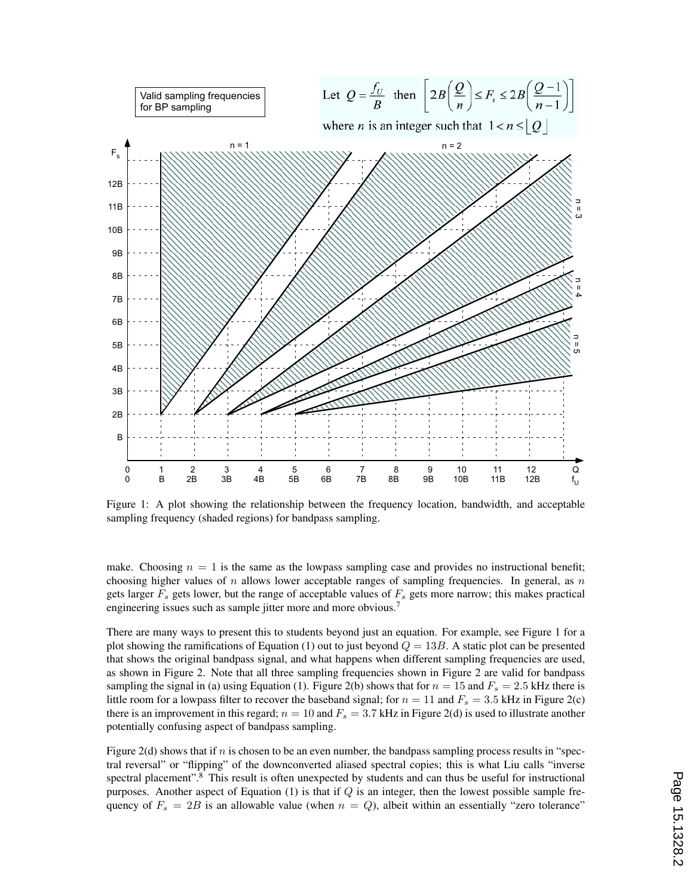

Figure 1: A plot showing the relationship between the frequency location, bandwidth, and acceptable sampling frequency (shaded regions) for bandpass sampling.

make. Choosing  $n = 1$  is the same as the lowpass sampling case and provides no instructional benefit; choosing higher values of  $n$  allows lower acceptable ranges of sampling frequencies. In general, as  $n$ gets larger  $F<sub>s</sub>$  gets lower, but the range of acceptable values of  $F<sub>s</sub>$  gets more narrow; this makes practical engineering issues such as sample jitter more and more obvious.<sup>7</sup>

There are many ways to present this to students beyond just an equation. For example, see Figure 1 for a plot showing the ramifications of Equation (1) out to just beyond  $Q = 13B$ . A static plot can be presented that shows the original bandpass signal, and what happens when different sampling frequencies are used, as shown in Figure 2. Note that all three sampling frequencies shown in Figure 2 are valid for bandpass sampling the signal in (a) using Equation (1). Figure 2(b) shows that for  $n = 15$  and  $F_s = 2.5$  kHz there is little room for a lowpass filter to recover the baseband signal; for  $n = 11$  and  $F_s = 3.5$  kHz in Figure 2(c) there is an improvement in this regard;  $n = 10$  and  $F_s = 3.7$  kHz in Figure 2(d) is used to illustrate another potentially confusing aspect of bandpass sampling.

Figure 2(d) shows that if  $n$  is chosen to be an even number, the bandpass sampling process results in "spectral reversal" or "flipping" of the downconverted aliased spectral copies; this is what Liu calls "inverse spectral placement".<sup>8</sup> This result is often unexpected by students and can thus be useful for instructional purposes. Another aspect of Equation  $(1)$  is that if Q is an integer, then the lowest possible sample frequency of  $F_s = 2B$  is an allowable value (when  $n = Q$ ), albeit within an essentially "zero tolerance"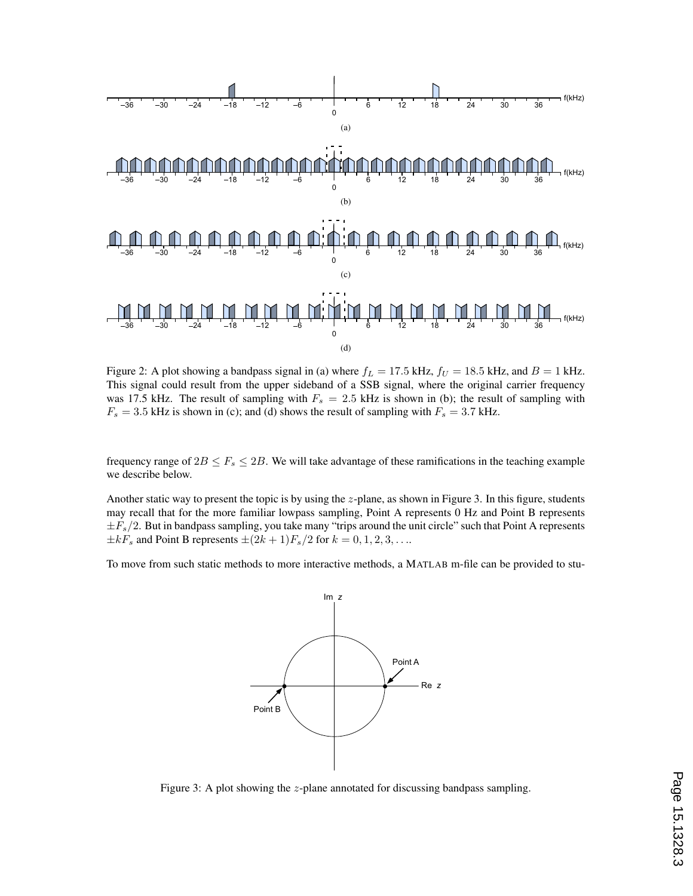

Figure 2: A plot showing a bandpass signal in (a) where  $f_L = 17.5$  kHz,  $f_U = 18.5$  kHz, and  $B = 1$  kHz. This signal could result from the upper sideband of a SSB signal, where the original carrier frequency was 17.5 kHz. The result of sampling with  $F_s = 2.5$  kHz is shown in (b); the result of sampling with  $F_s = 3.5$  kHz is shown in (c); and (d) shows the result of sampling with  $F_s = 3.7$  kHz.

frequency range of  $2B \leq F_s \leq 2B$ . We will take advantage of these ramifications in the teaching example we describe below.

Another static way to present the topic is by using the z-plane, as shown in Figure 3. In this figure, students may recall that for the more familiar lowpass sampling, Point A represents 0 Hz and Point B represents  $\pm F_s/2$ . But in bandpass sampling, you take many "trips around the unit circle" such that Point A represents  $\pm kF_s$  and Point B represents  $\pm (2k+1)F_s/2$  for  $k = 0, 1, 2, 3, \ldots$ 

To move from such static methods to more interactive methods, a MATLAB m-file can be provided to stu-



Figure 3: A plot showing the z-plane annotated for discussing bandpass sampling.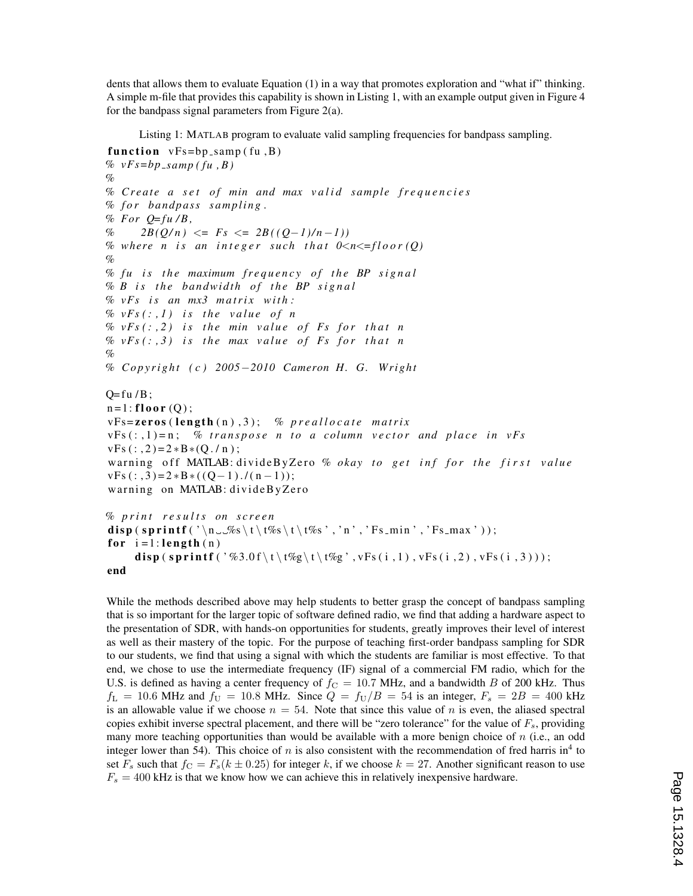dents that allows them to evaluate Equation (1) in a way that promotes exploration and "what if" thinking. A simple m-file that provides this capability is shown in Listing 1, with an example output given in Figure 4 for the bandpass signal parameters from Figure 2(a).

Listing 1: MATLAB program to evaluate valid sampling frequencies for bandpass sampling.

```
function vFs = bp_samp (fu, B)
\% \, vFs = bp\_sampling(fu, B)%
% C r e a t e a s e t o f min and max v a l i d sample f r e q u e n c i e s
% f o r bandpass s a m p l i n g .
% For Q=fu/B,\% 2B(Q/n) <= Fs <= 2B((Q-1)/n-1))
% where n is an integer such that 0 \le n \le \frac{1}{2} (Q)
%
% fu is the maximum frequency of the BP signal
% B is the bandwidth of the BP signal
\% vFs is an mx3 matrix with:
\% vFs(:,1) is the value of n
\% vFs(:,2) is the min value of Fs for that n
\% vFs(:, 3) is the max value of Fs for that n
%
% C o p y r i g h t ( c ) 2005−2010 Cameron H. G. Wright
Q= fu /B;
n=1: floor (Q);
vFs=zeros (length(n),3); % preallocate matrix
vFs(:,1)=n; % transpose n to a column vector and place in vFsvFs (:,2)=2 *B * (Q./n);
warning off MATLAB: divideByZero % okay to get inf for the first value
vFs (:,3)=2*B*((Q-1)./(n-1));
warning on MATLAB: divideByZero
% p r i n t r e s u l t s on s c r e e n
```

```
disp (sprintf ('\n__%s\t\t%s\t\t%s','n','Fs_min','Fs_max'));
for i = 1: length (n)disp (sprintf ('%3.0 f \t \t%g\t \t%g', vFs (i, 1), vFs (i, 2), vFs (i, 3)));
end
```
While the methods described above may help students to better grasp the concept of bandpass sampling that is so important for the larger topic of software defined radio, we find that adding a hardware aspect to the presentation of SDR, with hands-on opportunities for students, greatly improves their level of interest as well as their mastery of the topic. For the purpose of teaching first-order bandpass sampling for SDR to our students, we find that using a signal with which the students are familiar is most effective. To that end, we chose to use the intermediate frequency (IF) signal of a commercial FM radio, which for the U.S. is defined as having a center frequency of  $f_c = 10.7$  MHz, and a bandwidth B of 200 kHz. Thus  $f_L = 10.6$  MHz and  $f_U = 10.8$  MHz. Since  $Q = f_U/B = 54$  is an integer,  $F_s = 2B = 400$  kHz is an allowable value if we choose  $n = 54$ . Note that since this value of n is even, the aliased spectral copies exhibit inverse spectral placement, and there will be "zero tolerance" for the value of  $F_s$ , providing many more teaching opportunities than would be available with a more benign choice of  $n$  (i.e., an odd integer lower than 54). This choice of *n* is also consistent with the recommendation of fred harris in<sup>4</sup> to set  $F_s$  such that  $f_C = F_s(k \pm 0.25)$  for integer k, if we choose  $k = 27$ . Another significant reason to use  $F_s = 400$  kHz is that we know how we can achieve this in relatively inexpensive hardware.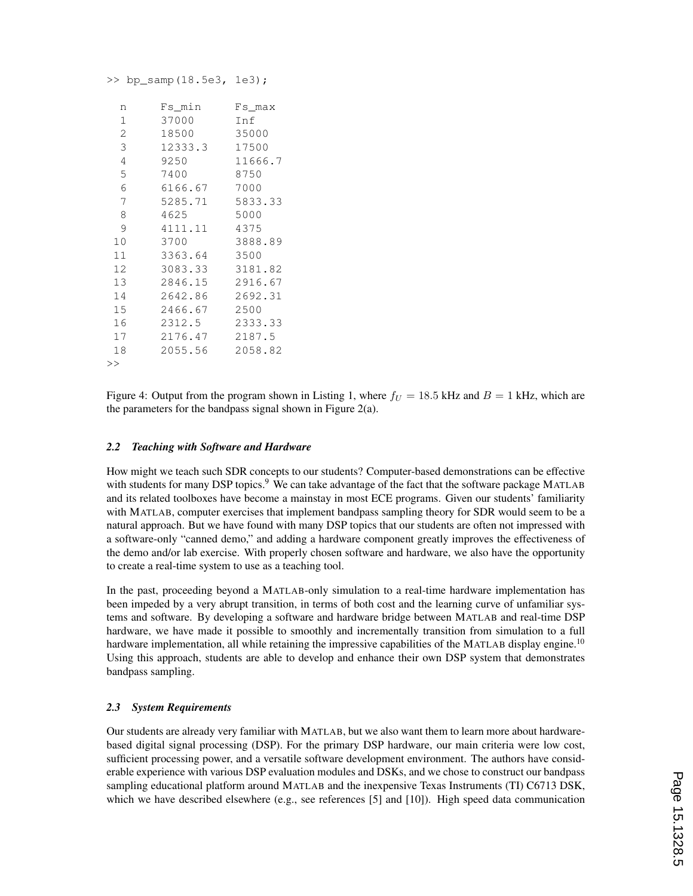>> bp\_samp(18.5e3, 1e3);

| n              | Fs_min  | Fs max          |
|----------------|---------|-----------------|
| 1              | 37000   | Inf             |
| $\overline{2}$ | 18500   | 35000           |
| 3              | 12333.3 | 17500           |
| 4              | 9250    | 11666.7         |
| 5              | 7400    | 8750            |
| 6              | 6166.67 | 7000            |
| 7              |         | 5285.71 5833.33 |
| 8              | 4625    | 5000            |
| 9              | 4111.11 | 4375            |
| 10             | 3700    | 3888.89         |
| 11             | 3363.64 | 3500            |
| 12             | 3083.33 | 3181.82         |
| 13             | 2846.15 | 2916.67         |
| 14             | 2642.86 | 2692.31         |
| 15             | 2466.67 | 2500            |
| 16             | 2312.5  | 2333.33         |
| 17             | 2176.47 | 2187.5          |
| 18             | 2055.56 | 2058.82         |
| >              |         |                 |

Figure 4: Output from the program shown in Listing 1, where  $f_U = 18.5$  kHz and  $B = 1$  kHz, which are the parameters for the bandpass signal shown in Figure  $2(a)$ .

### *2.2 Teaching with Software and Hardware*

How might we teach such SDR concepts to our students? Computer-based demonstrations can be effective with students for many DSP topics.<sup>9</sup> We can take advantage of the fact that the software package MATLAB and its related toolboxes have become a mainstay in most ECE programs. Given our students' familiarity with MATLAB, computer exercises that implement bandpass sampling theory for SDR would seem to be a natural approach. But we have found with many DSP topics that our students are often not impressed with a software-only "canned demo," and adding a hardware component greatly improves the effectiveness of the demo and/or lab exercise. With properly chosen software and hardware, we also have the opportunity to create a real-time system to use as a teaching tool.

In the past, proceeding beyond a MATLAB-only simulation to a real-time hardware implementation has been impeded by a very abrupt transition, in terms of both cost and the learning curve of unfamiliar systems and software. By developing a software and hardware bridge between MATLAB and real-time DSP hardware, we have made it possible to smoothly and incrementally transition from simulation to a full hardware implementation, all while retaining the impressive capabilities of the MATLAB display engine.<sup>10</sup> Using this approach, students are able to develop and enhance their own DSP system that demonstrates bandpass sampling.

### *2.3 System Requirements*

Our students are already very familiar with MATLAB, but we also want them to learn more about hardwarebased digital signal processing (DSP). For the primary DSP hardware, our main criteria were low cost, sufficient processing power, and a versatile software development environment. The authors have considerable experience with various DSP evaluation modules and DSKs, and we chose to construct our bandpass sampling educational platform around MATLAB and the inexpensive Texas Instruments (TI) C6713 DSK, which we have described elsewhere (e.g., see references [5] and [10]). High speed data communication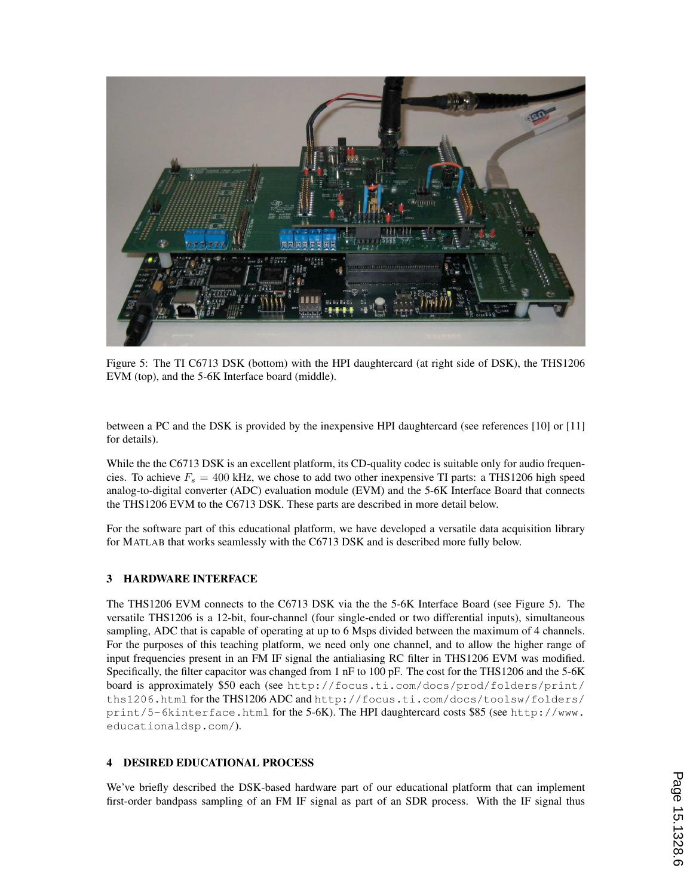

Figure 5: The TI C6713 DSK (bottom) with the HPI daughtercard (at right side of DSK), the THS1206 EVM (top), and the 5-6K Interface board (middle).

between a PC and the DSK is provided by the inexpensive HPI daughtercard (see references [10] or [11] for details).

While the the C6713 DSK is an excellent platform, its CD-quality codec is suitable only for audio frequencies. To achieve  $F_s = 400$  kHz, we chose to add two other inexpensive TI parts: a THS1206 high speed analog-to-digital converter (ADC) evaluation module (EVM) and the 5-6K Interface Board that connects the THS1206 EVM to the C6713 DSK. These parts are described in more detail below.

For the software part of this educational platform, we have developed a versatile data acquisition library for MATLAB that works seamlessly with the C6713 DSK and is described more fully below.

# 3 HARDWARE INTERFACE

The THS1206 EVM connects to the C6713 DSK via the the 5-6K Interface Board (see Figure 5). The versatile THS1206 is a 12-bit, four-channel (four single-ended or two differential inputs), simultaneous sampling, ADC that is capable of operating at up to 6 Msps divided between the maximum of 4 channels. For the purposes of this teaching platform, we need only one channel, and to allow the higher range of input frequencies present in an FM IF signal the antialiasing RC filter in THS1206 EVM was modified. Specifically, the filter capacitor was changed from 1 nF to 100 pF. The cost for the THS1206 and the 5-6K board is approximately \$50 each (see http://focus.ti.com/docs/prod/folders/print/ ths1206.html for the THS1206 ADC and http://focus.ti.com/docs/toolsw/folders/ print/5-6kinterface.html for the 5-6K). The HPI daughtercard costs \$85 (see http://www. educationaldsp.com/).

### 4 DESIRED EDUCATIONAL PROCESS

We've briefly described the DSK-based hardware part of our educational platform that can implement first-order bandpass sampling of an FM IF signal as part of an SDR process. With the IF signal thus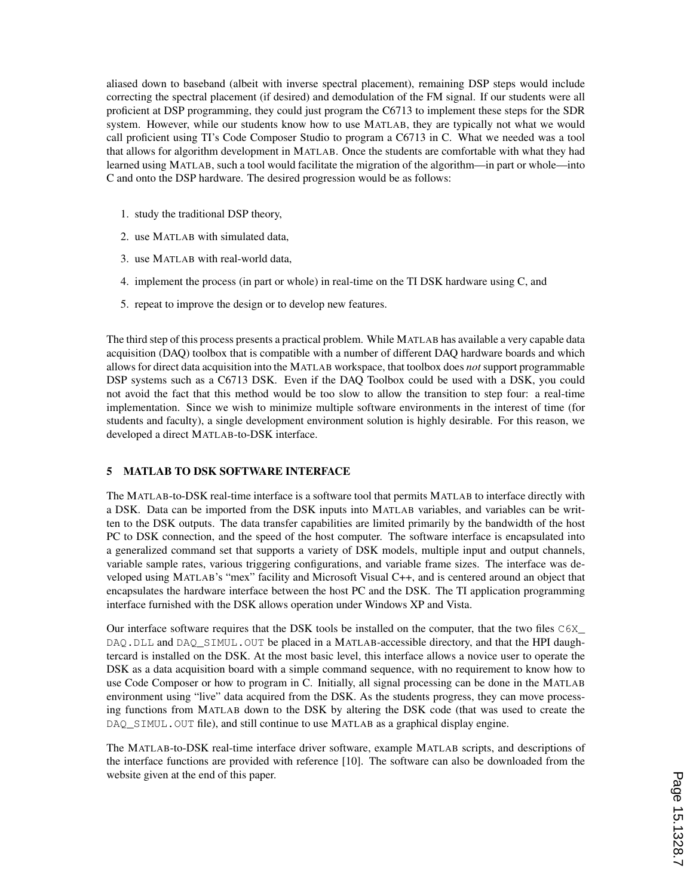aliased down to baseband (albeit with inverse spectral placement), remaining DSP steps would include correcting the spectral placement (if desired) and demodulation of the FM signal. If our students were all proficient at DSP programming, they could just program the C6713 to implement these steps for the SDR system. However, while our students know how to use MATLAB, they are typically not what we would call proficient using TI's Code Composer Studio to program a C6713 in C. What we needed was a tool that allows for algorithm development in MATLAB. Once the students are comfortable with what they had learned using MATLAB, such a tool would facilitate the migration of the algorithm—in part or whole—into C and onto the DSP hardware. The desired progression would be as follows:

- 1. study the traditional DSP theory,
- 2. use MATLAB with simulated data,
- 3. use MATLAB with real-world data,
- 4. implement the process (in part or whole) in real-time on the TI DSK hardware using C, and
- 5. repeat to improve the design or to develop new features.

The third step of this process presents a practical problem. While MATLAB has available a very capable data acquisition (DAQ) toolbox that is compatible with a number of different DAQ hardware boards and which allows for direct data acquisition into the MATLAB workspace, that toolbox does *not* support programmable DSP systems such as a C6713 DSK. Even if the DAQ Toolbox could be used with a DSK, you could not avoid the fact that this method would be too slow to allow the transition to step four: a real-time implementation. Since we wish to minimize multiple software environments in the interest of time (for students and faculty), a single development environment solution is highly desirable. For this reason, we developed a direct MATLAB-to-DSK interface.

### 5 MATLAB TO DSK SOFTWARE INTERFACE

The MATLAB-to-DSK real-time interface is a software tool that permits MATLAB to interface directly with a DSK. Data can be imported from the DSK inputs into MATLAB variables, and variables can be written to the DSK outputs. The data transfer capabilities are limited primarily by the bandwidth of the host PC to DSK connection, and the speed of the host computer. The software interface is encapsulated into a generalized command set that supports a variety of DSK models, multiple input and output channels, variable sample rates, various triggering configurations, and variable frame sizes. The interface was developed using MATLAB's "mex" facility and Microsoft Visual C++, and is centered around an object that encapsulates the hardware interface between the host PC and the DSK. The TI application programming interface furnished with the DSK allows operation under Windows XP and Vista.

Our interface software requires that the DSK tools be installed on the computer, that the two files C6X\_ DAQ.DLL and DAQ\_SIMUL.OUT be placed in a MATLAB-accessible directory, and that the HPI daughtercard is installed on the DSK. At the most basic level, this interface allows a novice user to operate the DSK as a data acquisition board with a simple command sequence, with no requirement to know how to use Code Composer or how to program in C. Initially, all signal processing can be done in the MATLAB environment using "live" data acquired from the DSK. As the students progress, they can move processing functions from MATLAB down to the DSK by altering the DSK code (that was used to create the DAQ\_SIMUL.OUT file), and still continue to use MATLAB as a graphical display engine.

The MATLAB-to-DSK real-time interface driver software, example MATLAB scripts, and descriptions of the interface functions are provided with reference [10]. The software can also be downloaded from the website given at the end of this paper.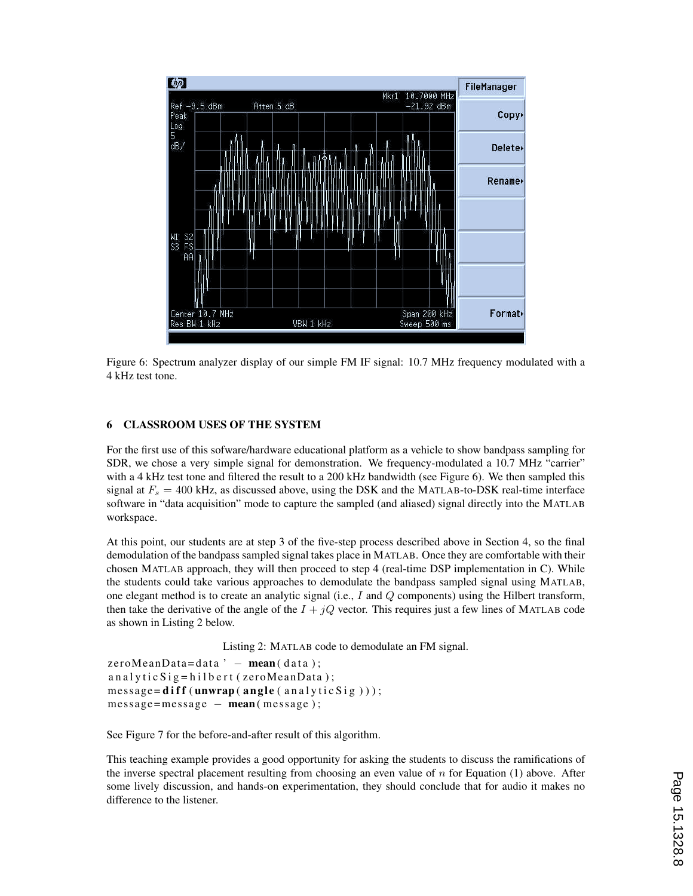

Figure 6: Spectrum analyzer display of our simple FM IF signal: 10.7 MHz frequency modulated with a 4 kHz test tone.

## 6 CLASSROOM USES OF THE SYSTEM

For the first use of this sofware/hardware educational platform as a vehicle to show bandpass sampling for SDR, we chose a very simple signal for demonstration. We frequency-modulated a 10.7 MHz "carrier" with a 4 kHz test tone and filtered the result to a 200 kHz bandwidth (see Figure 6). We then sampled this signal at  $F_s = 400$  kHz, as discussed above, using the DSK and the MATLAB-to-DSK real-time interface software in "data acquisition" mode to capture the sampled (and aliased) signal directly into the MATLAB workspace.

At this point, our students are at step 3 of the five-step process described above in Section 4, so the final demodulation of the bandpass sampled signal takes place in MATLAB. Once they are comfortable with their chosen MATLAB approach, they will then proceed to step 4 (real-time DSP implementation in C). While the students could take various approaches to demodulate the bandpass sampled signal using MATLAB, one elegant method is to create an analytic signal (i.e., I and Q components) using the Hilbert transform, then take the derivative of the angle of the  $I + jQ$  vector. This requires just a few lines of MATLAB code as shown in Listing 2 below.

Listing 2: MATLAB code to demodulate an FM signal.

```
zeroMeanData = data' - mean(data);an alytic Sig = hilbert (zeroMeanData);
message = diff(numtrap(name, analysis));
message = message - mean(message);
```
See Figure 7 for the before-and-after result of this algorithm.

This teaching example provides a good opportunity for asking the students to discuss the ramifications of the inverse spectral placement resulting from choosing an even value of  $n$  for Equation (1) above. After some lively discussion, and hands-on experimentation, they should conclude that for audio it makes no difference to the listener.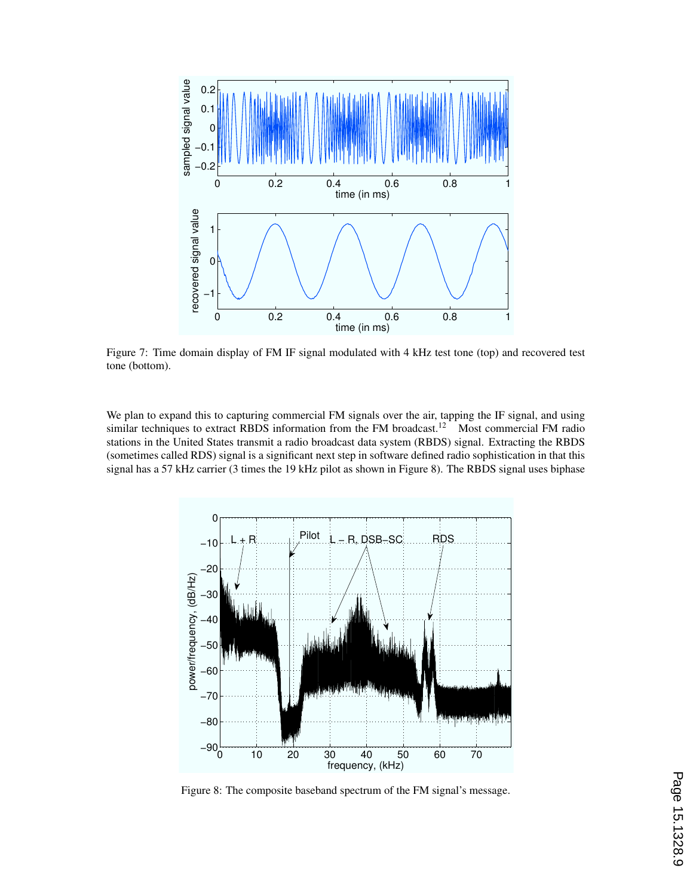

Figure 7: Time domain display of FM IF signal modulated with 4 kHz test tone (top) and recovered test tone (bottom).

We plan to expand this to capturing commercial FM signals over the air, tapping the IF signal, and using similar techniques to extract RBDS information from the FM broadcast.<sup>12</sup> Most commercial FM radio stations in the United States transmit a radio broadcast data system (RBDS) signal. Extracting the RBDS (sometimes called RDS) signal is a significant next step in software defined radio sophistication in that this signal has a 57 kHz carrier (3 times the 19 kHz pilot as shown in Figure 8). The RBDS signal uses biphase



Figure 8: The composite baseband spectrum of the FM signal's message.